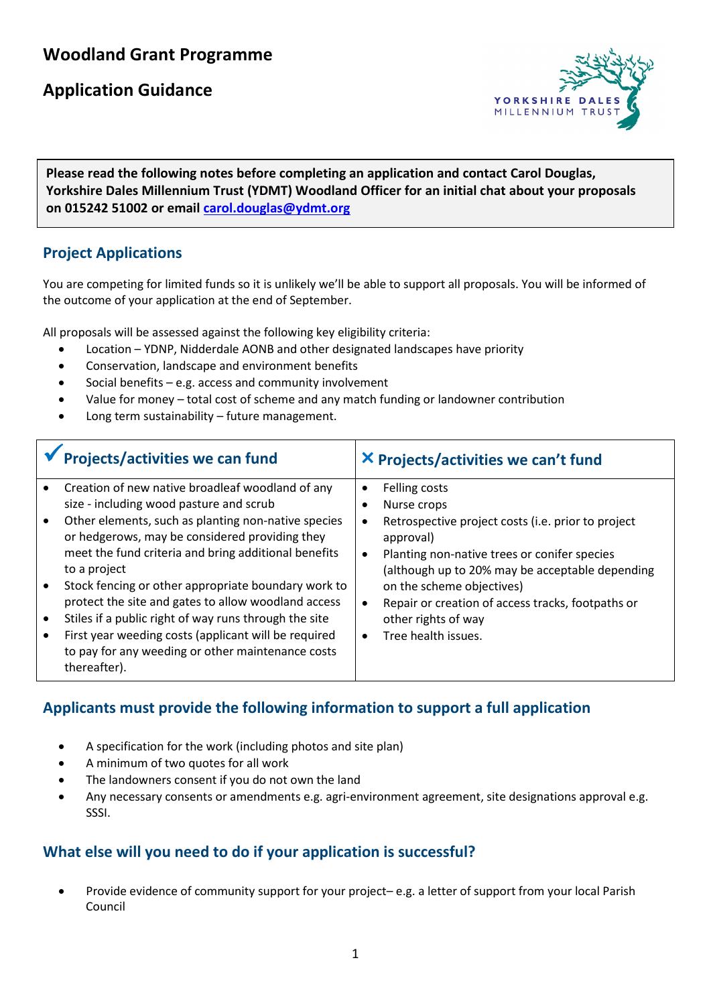# **Woodland Grant Programme**

## **Application Guidance**



**Please read the following notes before completing an application and contact Carol Douglas, <br>**  $\frac{1}{2}$  $\frac{1}{2}$  $\frac{1}{2}$  $\frac{1}{2}$  $\frac{1}{2}$  $\frac{1}{2}$  $\frac{1}{2}$  $\frac{1}{2}$  $\frac{1}{2}$  $\frac{1}{2}$  $\frac{1}{2}$  $\frac{1}{2}$  **\frac{1}{2 Yorkshire Dales Millennium Trust (YDMT) Woodland Officer for an initial chat about your proposals on 015242 51002 or email [carol.douglas@ydmt.org](mailto:carol.douglas@ydmt.org)**

#### **Project Applications**

You are competing for limited funds so it is unlikely we'll be able to support all proposals. You will be informed of the outcome of your application at the end of September.

All proposals will be assessed against the following key eligibility criteria:

- Location YDNP, Nidderdale AONB and other designated landscapes have priority
- Conservation, landscape and environment benefits
- Social benefits  $-$  e.g. access and community involvement
- Value for money total cost of scheme and any match funding or landowner contribution
- Long term sustainability future management.

| Projects/activities we can fund                                                                                                        | X Projects/activities we can't fund                                                                          |
|----------------------------------------------------------------------------------------------------------------------------------------|--------------------------------------------------------------------------------------------------------------|
| Creation of new native broadleaf woodland of any<br>$\bullet$<br>size - including wood pasture and scrub                               | Felling costs<br>$\bullet$<br>Nurse crops                                                                    |
| Other elements, such as planting non-native species<br>$\bullet$<br>or hedgerows, may be considered providing they                     | Retrospective project costs (i.e. prior to project<br>$\bullet$<br>approval)                                 |
| meet the fund criteria and bring additional benefits<br>to a project                                                                   | Planting non-native trees or conifer species<br>$\bullet$<br>(although up to 20% may be acceptable depending |
| Stock fencing or other appropriate boundary work to<br>$\bullet$                                                                       | on the scheme objectives)                                                                                    |
| protect the site and gates to allow woodland access<br>Stiles if a public right of way runs through the site<br>$\bullet$              | Repair or creation of access tracks, footpaths or<br>$\bullet$<br>other rights of way                        |
| First year weeding costs (applicant will be required<br>$\bullet$<br>to pay for any weeding or other maintenance costs<br>thereafter). | Tree health issues.<br>$\bullet$                                                                             |

#### **Applicants must provide the following information to support a full application**

- A specification for the work (including photos and site plan)
- A minimum of two quotes for all work
- The landowners consent if you do not own the land
- Any necessary consents or amendments e.g. agri-environment agreement, site designations approval e.g. SSSI.

### **What else will you need to do if your application is successful?**

• Provide evidence of community support for your project– e.g. a letter of support from your local Parish Council